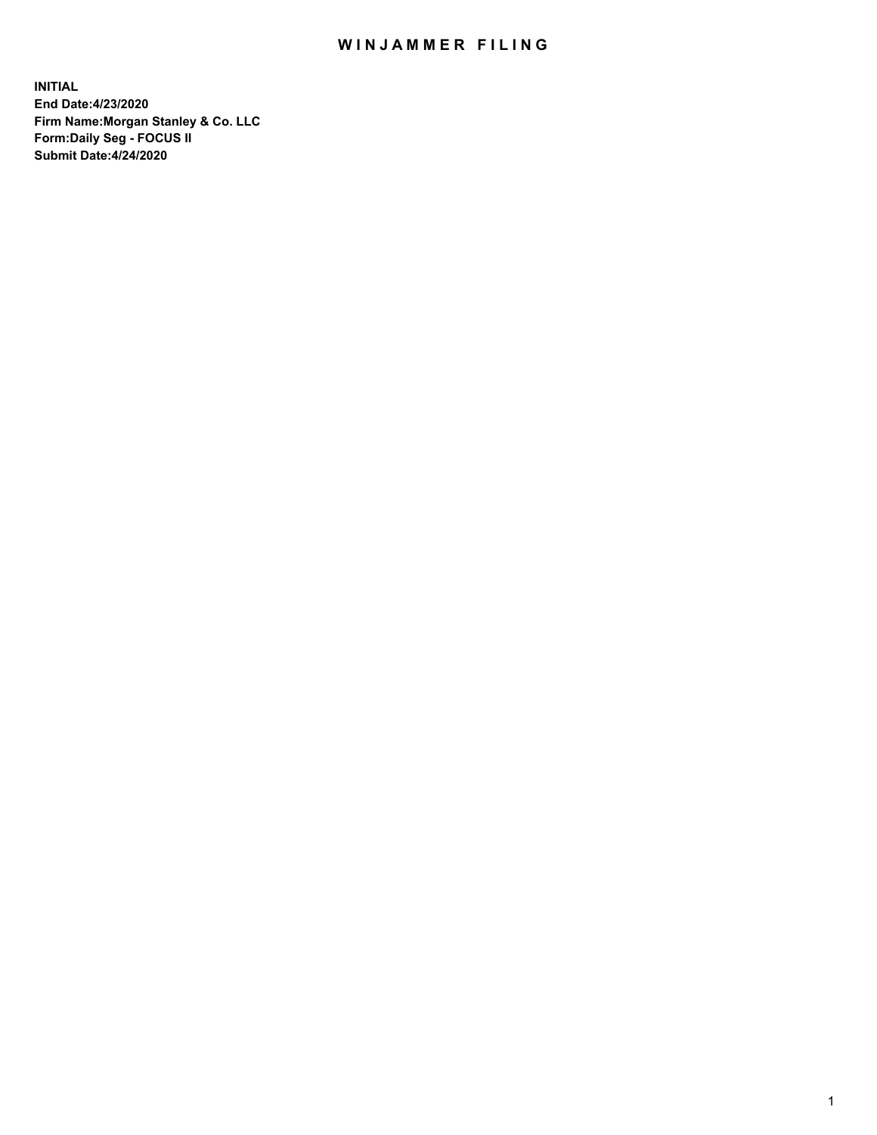## WIN JAMMER FILING

**INITIAL End Date:4/23/2020 Firm Name:Morgan Stanley & Co. LLC Form:Daily Seg - FOCUS II Submit Date:4/24/2020**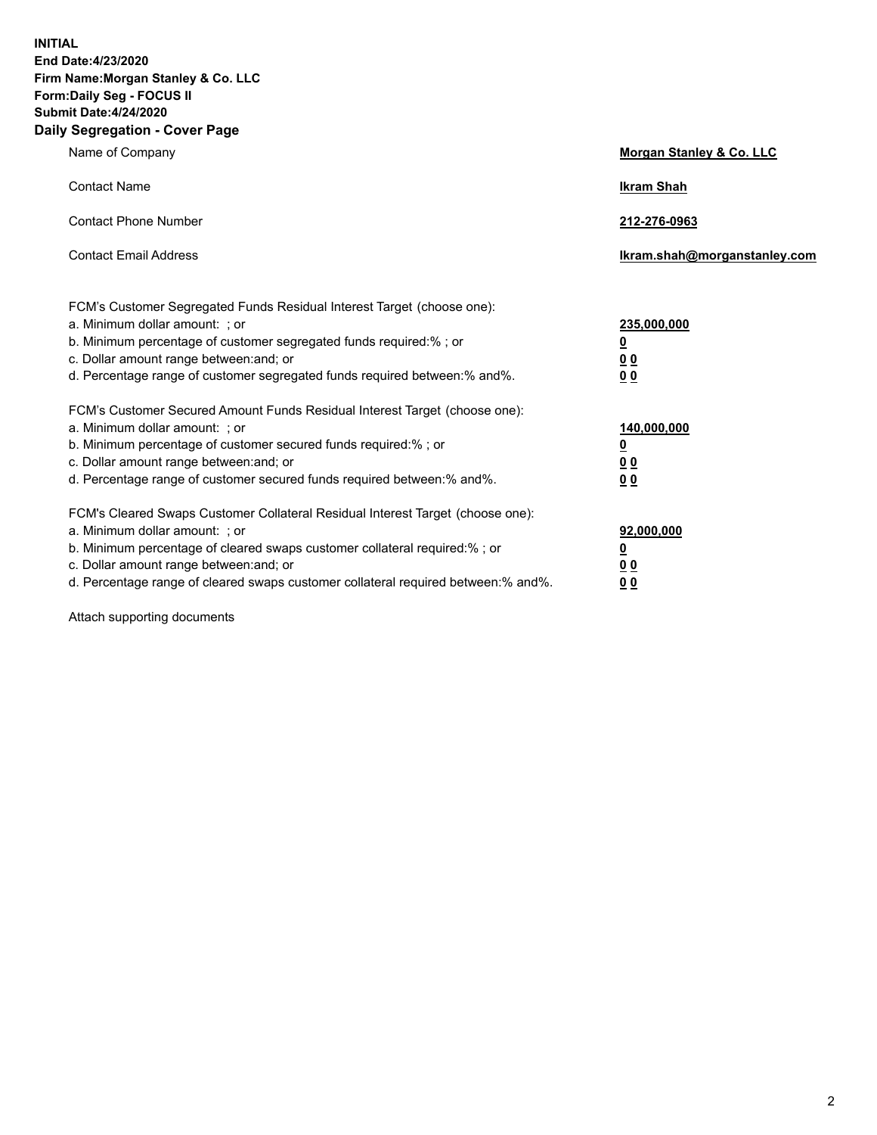**INITIAL End Date:4/23/2020 Firm Name:Morgan Stanley & Co. LLC Form:Daily Seg - FOCUS II Submit Date:4/24/2020 Daily Segregation - Cover Page**

| Name of Company                                                                                                                                                                                                                                                                                                                | Morgan Stanley & Co. LLC                                |
|--------------------------------------------------------------------------------------------------------------------------------------------------------------------------------------------------------------------------------------------------------------------------------------------------------------------------------|---------------------------------------------------------|
| <b>Contact Name</b>                                                                                                                                                                                                                                                                                                            | <b>Ikram Shah</b>                                       |
| <b>Contact Phone Number</b>                                                                                                                                                                                                                                                                                                    | 212-276-0963                                            |
| <b>Contact Email Address</b>                                                                                                                                                                                                                                                                                                   | Ikram.shah@morganstanley.com                            |
| FCM's Customer Segregated Funds Residual Interest Target (choose one):<br>a. Minimum dollar amount: ; or<br>b. Minimum percentage of customer segregated funds required:% ; or<br>c. Dollar amount range between: and; or<br>d. Percentage range of customer segregated funds required between:% and%.                         | 235,000,000<br><u>0</u><br><u>00</u><br><u>00</u>       |
| FCM's Customer Secured Amount Funds Residual Interest Target (choose one):<br>a. Minimum dollar amount: ; or<br>b. Minimum percentage of customer secured funds required:%; or<br>c. Dollar amount range between: and; or<br>d. Percentage range of customer secured funds required between:% and%.                            | 140,000,000<br><u>0</u><br><u>0 0</u><br>0 <sub>0</sub> |
| FCM's Cleared Swaps Customer Collateral Residual Interest Target (choose one):<br>a. Minimum dollar amount: ; or<br>b. Minimum percentage of cleared swaps customer collateral required:% ; or<br>c. Dollar amount range between: and; or<br>d. Percentage range of cleared swaps customer collateral required between:% and%. | 92,000,000<br><u>0</u><br><u>00</u><br>00               |

Attach supporting documents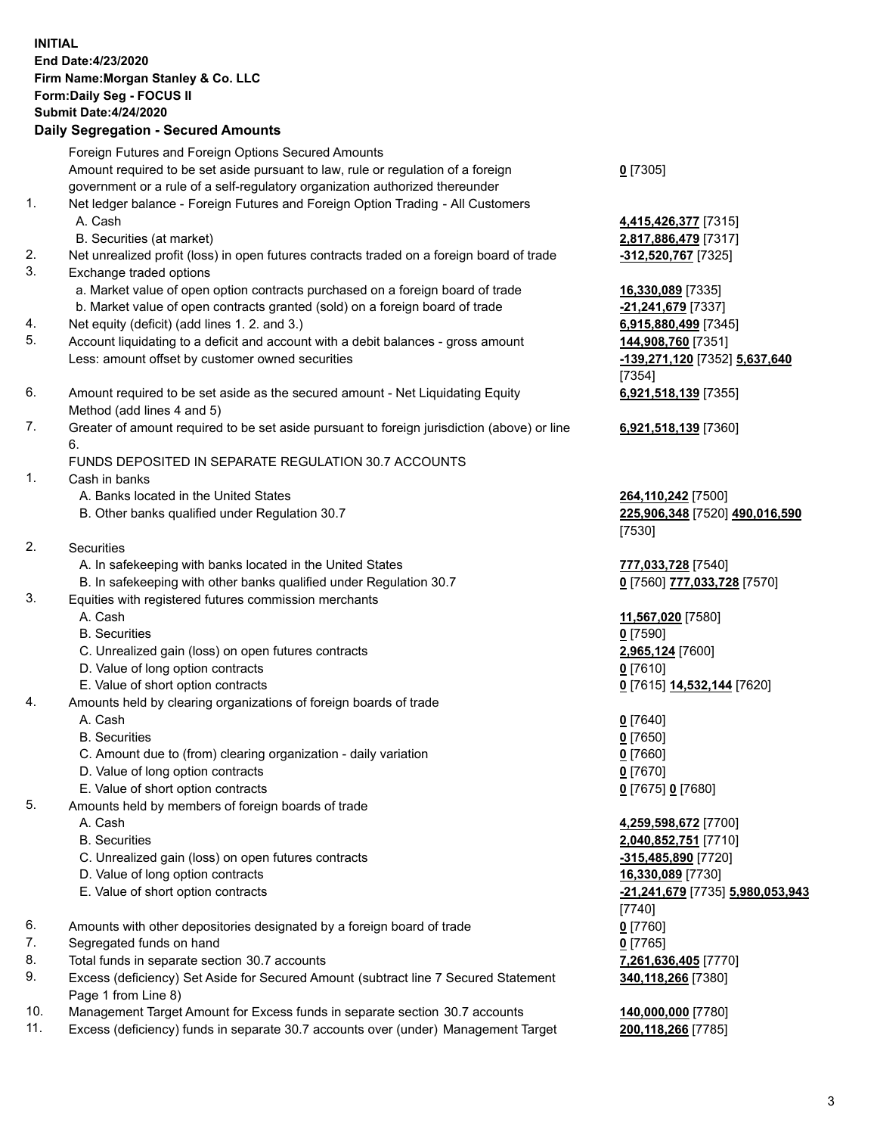## **INITIAL End Date:4/23/2020 Firm Name:Morgan Stanley & Co. LLC Form:Daily Seg - FOCUS II Submit Date:4/24/2020 Daily Segregation - Secured Amounts** Foreign Futures and Foreign Options Secured Amounts Amount required to be set aside pursuant to law, rule or regulation of a foreign government or a rule of a self-regulatory organization authorized thereunder 1. Net ledger balance - Foreign Futures and Foreign Option Trading - All Customers A. Cash **4,415,426,377** [7315] B. Securities (at market) **2,817,886,479** [7317] 2. Net unrealized profit (loss) in open futures contracts traded on a foreign board of trade **-312,520,767** [7325] 3. Exchange traded options a. Market value of open option contracts purchased on a foreign board of trade **16,330,089** [7335] b. Market value of open contracts granted (sold) on a foreign board of trade **-21,241,679** [7337] 4. Net equity (deficit) (add lines 1. 2. and 3.) **6,915,880,499** [7345] 5. Account liquidating to a deficit and account with a debit balances - gross amount **144,908,760** [7351] Less: amount offset by customer owned securities **-139,271,120** [7352] **5,637,640** 6. Amount required to be set aside as the secured amount - Net Liquidating Equity Method (add lines 4 and 5) 7. Greater of amount required to be set aside pursuant to foreign jurisdiction (above) or line 6. FUNDS DEPOSITED IN SEPARATE REGULATION 30.7 ACCOUNTS 1. Cash in banks A. Banks located in the United States **264,110,242** [7500] B. Other banks qualified under Regulation 30.7 **225,906,348** [7520] **490,016,590** 2. Securities A. In safekeeping with banks located in the United States **777,033,728** [7540] B. In safekeeping with other banks qualified under Regulation 30.7 **0** [7560] **777,033,728** [7570] 3. Equities with registered futures commission merchants A. Cash **11,567,020** [7580] B. Securities **0** [7590] C. Unrealized gain (loss) on open futures contracts **2,965,124** [7600] D. Value of long option contracts **0** [7610] E. Value of short option contracts **0** [7615] **14,532,144** [7620] 4. Amounts held by clearing organizations of foreign boards of trade A. Cash **0** [7640] B. Securities **0** [7650] C. Amount due to (from) clearing organization - daily variation **0** [7660] D. Value of long option contracts **0** [7670] E. Value of short option contracts **0** [7675] **0** [7680] 5. Amounts held by members of foreign boards of trade A. Cash **4,259,598,672** [7700] B. Securities **2,040,852,751** [7710] C. Unrealized gain (loss) on open futures contracts **-315,485,890** [7720] D. Value of long option contracts **16,330,089** [7730]

- E. Value of short option contracts **-21,241,679** [7735] **5,980,053,943**
- 6. Amounts with other depositories designated by a foreign board of trade **0** [7760]
- 7. Segregated funds on hand **0** [7765]
- 8. Total funds in separate section 30.7 accounts **7,261,636,405** [7770]
- 9. Excess (deficiency) Set Aside for Secured Amount (subtract line 7 Secured Statement Page 1 from Line 8)
- 10. Management Target Amount for Excess funds in separate section 30.7 accounts **140,000,000** [7780]
- 11. Excess (deficiency) funds in separate 30.7 accounts over (under) Management Target **200,118,266** [7785]

[7354] **6,921,518,139** [7355]

**6,921,518,139** [7360]

[7530]

[7740] **340,118,266** [7380]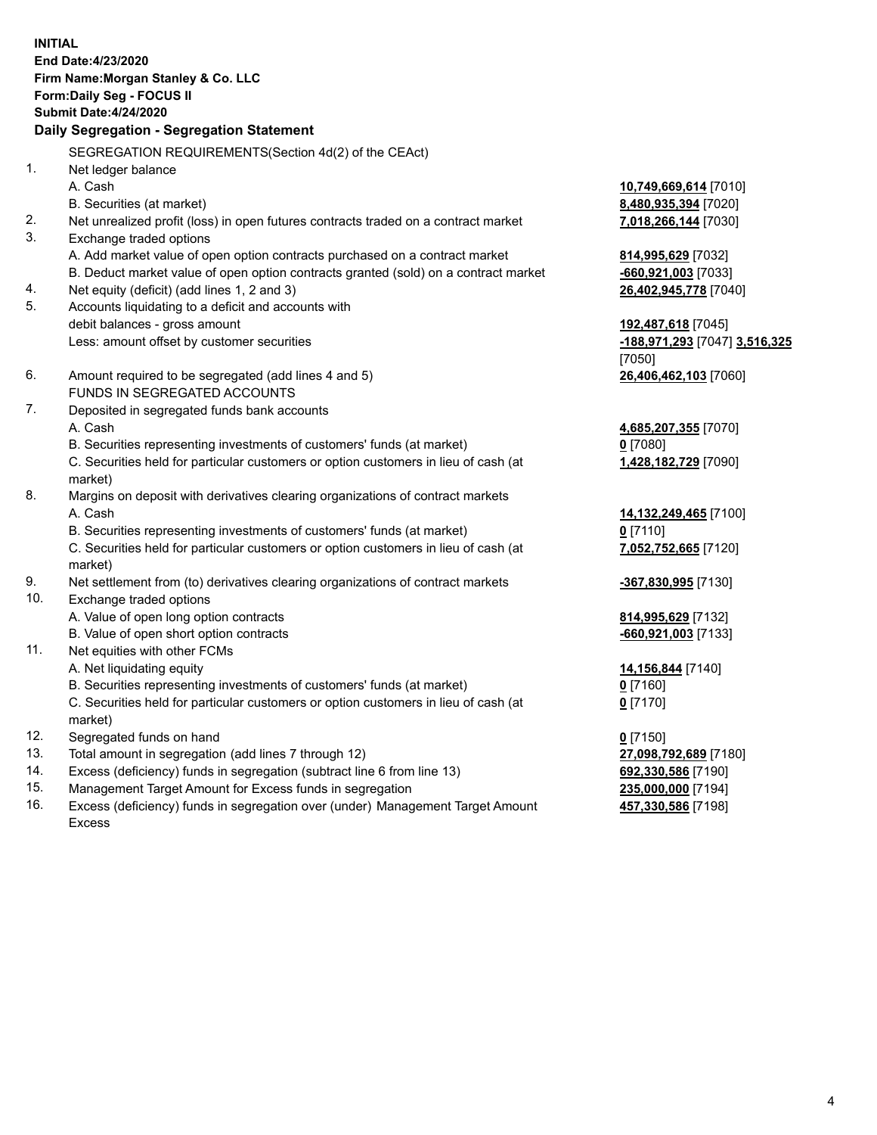**INITIAL End Date:4/23/2020 Firm Name:Morgan Stanley & Co. LLC Form:Daily Seg - FOCUS II Submit Date:4/24/2020 Daily Segregation - Segregation Statement** SEGREGATION REQUIREMENTS(Section 4d(2) of the CEAct) 1. Net ledger balance A. Cash **10,749,669,614** [7010] B. Securities (at market) **8,480,935,394** [7020] 2. Net unrealized profit (loss) in open futures contracts traded on a contract market **7,018,266,144** [7030] 3. Exchange traded options A. Add market value of open option contracts purchased on a contract market **814,995,629** [7032] B. Deduct market value of open option contracts granted (sold) on a contract market **-660,921,003** [7033] 4. Net equity (deficit) (add lines 1, 2 and 3) **26,402,945,778** [7040] 5. Accounts liquidating to a deficit and accounts with debit balances - gross amount **192,487,618** [7045] Less: amount offset by customer securities **-188,971,293** [7047] **3,516,325** [7050] 6. Amount required to be segregated (add lines 4 and 5) **26,406,462,103** [7060] FUNDS IN SEGREGATED ACCOUNTS 7. Deposited in segregated funds bank accounts A. Cash **4,685,207,355** [7070] B. Securities representing investments of customers' funds (at market) **0** [7080] C. Securities held for particular customers or option customers in lieu of cash (at market) **1,428,182,729** [7090] 8. Margins on deposit with derivatives clearing organizations of contract markets A. Cash **14,132,249,465** [7100] B. Securities representing investments of customers' funds (at market) **0** [7110] C. Securities held for particular customers or option customers in lieu of cash (at market) **7,052,752,665** [7120] 9. Net settlement from (to) derivatives clearing organizations of contract markets **-367,830,995** [7130] 10. Exchange traded options A. Value of open long option contracts **814,995,629** [7132] B. Value of open short option contracts **-660,921,003** [7133] 11. Net equities with other FCMs A. Net liquidating equity **14,156,844** [7140] B. Securities representing investments of customers' funds (at market) **0** [7160] C. Securities held for particular customers or option customers in lieu of cash (at market) **0** [7170] 12. Segregated funds on hand **0** [7150] 13. Total amount in segregation (add lines 7 through 12) **27,098,792,689** [7180] 14. Excess (deficiency) funds in segregation (subtract line 6 from line 13) **692,330,586** [7190] 15. Management Target Amount for Excess funds in segregation **235,000,000** [7194]

16. Excess (deficiency) funds in segregation over (under) Management Target Amount Excess

**457,330,586** [7198]